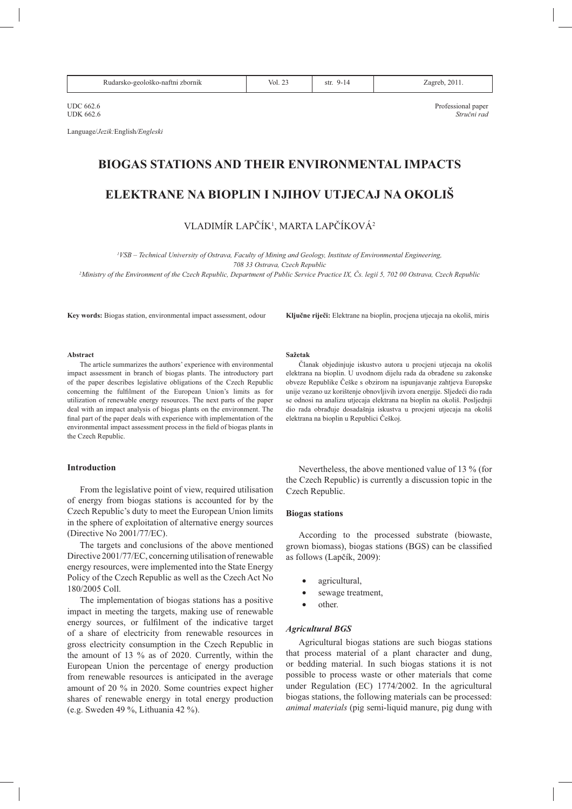| zbornik<br>$Vol.$ $\angle$<br>SU.<br>$- - -$ |
|----------------------------------------------|
|----------------------------------------------|

 $\text{UDC } 662.6$   $\text{Professional paper}$ <br> $\text{Frofessional paper}$ UDK 662.6 *Stručni rad* 

Language/*Jezik*: English/Engleski

# **EIOGAS STATIONS AND THEIR ENVIRONMENTAL IMPACTS**

# **ELEKTRANE NA BIOPLIN I NJIHOV UTJECAJ NA OKOLIŠ**

VLADIMÍR LAPČÍK<sup>1</sup>, MARTA LAPČÍKOVÁ<sup>2</sup>

<sup>1</sup>VSB - Technical University of Ostrava, Faculty of Mining and Geology, Institute of Environmental Engineering, 708 33 Ostrava, Czech Republic

<sup>2</sup>*Ministry of the Environment of the Czech Republic, Department of Public Service Practice IX, Čs. legií 5, 702 00 Ostrava, Czech Republic* 

**Key words:** Biogas station, environmental impact assessment, odour **Ključne riječi:** Elektrane na bioplin, procjena utjecaja na okoliš, miris

#### Abstract

The article summarizes the authors' experience with environmental impact assessment in branch of biogas plants. The introductory part of the paper describes legislative obligations of the Czech Republic concerning the fulfilment of the European Union's limits as for utilization of renewable energy resources. The next parts of the paper deal with an impact analysis of biogas plants on the environment. The final part of the paper deals with experience with implementation of the  $e$ nvironmental impact assessment process in the field of biogas plants in the Czech Republic.

#### **Introduction**

From the legislative point of view, required utilisation of energy from biogas stations is accounted for by the Czech Republic's duty to meet the European Union limits in the sphere of exploitation of alternative energy sources (Directive No  $2001/77/EC$ ).

The targets and conclusions of the above mentioned Directive 2001/77/EC, concerning utilisation of renewable energy resources, were implemented into the State Energy Policy of the Czech Republic as well as the Czech Act No 180/2005 Coll.

The implementation of biogas stations has a positive impact in meeting the targets, making use of renewable energy sources, or fulfilment of the indicative target of a share of electricity from renewable resources in gross electricity consumption in the Czech Republic in the amount of 13 % as of 2020. Currently, within the European Union the percentage of energy production from renewable resources is anticipated in the average amount of 20 % in 2020. Some countries expect higher shares of renewable energy in total energy production (e.g. Sweden 49 %, Lithuania 42 %).

#### **Sažetak**

Članak obiediniuie iskustvo autora u procieni utiecaja na okoliš elektrana na bioplin. U uvodnom dijelu rada da obrađene su zakonske obveze Republike Češke s obzirom na ispunjavanje zahtjeva Europske unije vezano uz korištenje obnovljivih izvora energije. Sljedeći dio rada se odnosi na analizu utjecaja elektrana na bioplin na okoliš. Posljednji dio rada obrađuje dosadašnja iskustva u procjeni utjecaja na okoliš elektrana na bioplin u Republici Češkoj.

Nevertheless, the above mentioned value of 13 % (for the Czech Republic) is currently a discussion topic in the Czech Republic.

## **Biogas stations**

According to the processed substrate (biowaste, grown biomass), biogas stations (BGS) can be classified as follows (Lapčík, 2009):

- agricultural,
- sewage treatment,
- other.

#### *Agricultural BGS*

Agricultural biogas stations are such biogas stations that process material of a plant character and dung, or bedding material. In such biogas stations it is not possible to process waste or other materials that come under Regulation (EC)  $1774/2002$ . In the agricultural biogas stations, the following materials can be processed: *animal materials* (pig semi-liquid manure, pig dung with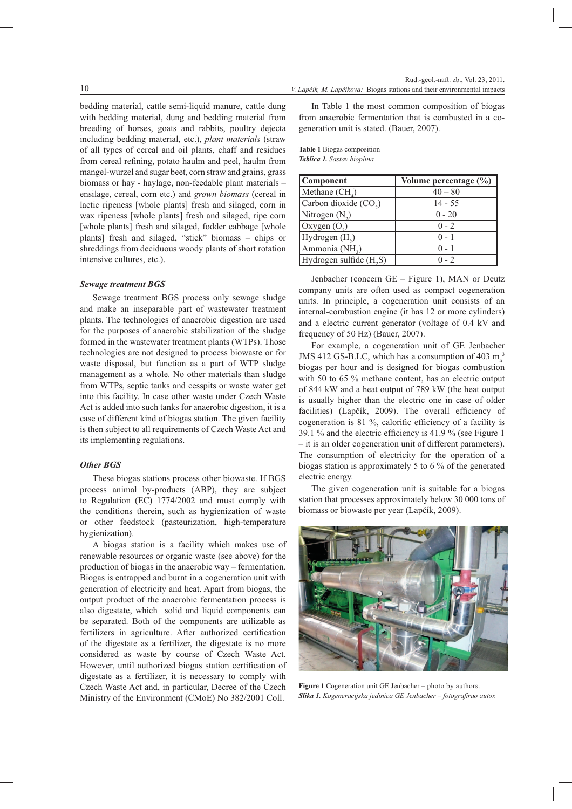bedding material, cattle semi-liquid manure, cattle dung with bedding material, dung and bedding material from breeding of horses, goats and rabbits, poultry dejecta including bedding material, etc.), plant materials (straw of all types of cereal and oil plants, chaff and residues from cereal refining, potato haulm and peel, haulm from mangel-wurzel and sugar beet, corn straw and grains, grass biomass or hay - haylage, non-feedable plant materials ensilage, cereal, corn etc.) and grown biomass (cereal in lactic ripeness [whole plants] fresh and silaged, corn in wax ripeness [whole plants] fresh and silaged, ripe corn [whole plants] fresh and silaged, fodder cabbage [whole plants] fresh and silaged, "stick" biomass - chips or shreddings from deciduous woody plants of short rotation

#### Sewage treatment BGS

intensive cultures, etc.).

Sewage treatment BGS process only sewage sludge and make an inseparable part of wastewater treatment plants. The technologies of anaerobic digestion are used for the purposes of anaerobic stabilization of the sludge formed in the wastewater treatment plants (WTPs). Those technologies are not designed to process biowaste or for waste disposal, but function as a part of WTP sludge management as a whole. No other materials than sludge from WTPs, septic tanks and cesspits or waste water get into this facility. In case other waste under Czech Waste Act is added into such tanks for anaerobic digestion, it is a case of different kind of biogas station. The given facility is then subject to all requirements of Czech Waste Act and its implementing regulations.

## Other BGS

These biogas stations process other biowaste. If BGS process animal by-products (ABP), they are subject to Regulation (EC) 1774/2002 and must comply with the conditions therein, such as hygienization of waste or other feedstock (pasteurization, high-temperature hygienization).

A biogas station is a facility which makes use of renewable resources or organic waste (see above) for the production of biogas in the anaerobic way - fermentation. Biogas is entrapped and burnt in a cogeneration unit with generation of electricity and heat. Apart from biogas, the output product of the anaerobic fermentation process is also digestate, which solid and liquid components can be separated. Both of the components are utilizable as fertilizers in agriculture. After authorized certification of the digestate as a fertilizer, the digestate is no more considered as waste by course of Czech Waste Act. However, until authorized biogas station certification of digestate as a fertilizer, it is necessary to comply with Czech Waste Act and, in particular, Decree of the Czech Ministry of the Environment (CMoE) No 382/2001 Coll.

In Table 1 the most common composition of biogas from anaerobic fermentation that is combusted in a cogeneration unit is stated. (Bauer, 2007).

| <b>Table 1 Biogas composition</b> |  |
|-----------------------------------|--|
| <b>Tablica 1.</b> Sastav bioplina |  |

| Component                           | Volume percentage $(\% )$ |
|-------------------------------------|---------------------------|
| Methane $(CH_A)$                    | $40 - 80$                 |
| Carbon dioxide $(CO2)$              | $14 - 55$                 |
| Nitrogen $(N_2)$                    | $0 - 20$                  |
| Oxygen $(O_2)$                      | $0 - 2$                   |
| Hydrogen $(H_2)$                    | $0 - 1$                   |
| Ammonia (NH <sub>2</sub> )          | $0 - 1$                   |
| Hydrogen sulfide (H <sub>2</sub> S) | $0 - 2$                   |

Jenbacher (concern GE - Figure 1), MAN or Deutz company units are often used as compact cogeneration units. In principle, a cogeneration unit consists of an internal-combustion engine (it has 12 or more cylinders) and a electric current generator (voltage of 0.4 kV and frequency of 50 Hz) (Bauer, 2007).

For example, a cogeneration unit of GE Jenbacher JMS 412 GS-B.LC, which has a consumption of 403 m.<sup>3</sup> biogas per hour and is designed for biogas combustion with 50 to 65 % methane content, has an electric output of 844 kW and a heat output of 789 kW (the heat output is usually higher than the electric one in case of older facilities) (Lapčík, 2009). The overall efficiency of cogeneration is 81 %, calorific efficiency of a facility is 39.1 % and the electric efficiency is 41.9 % (see Figure 1) - it is an older cogeneration unit of different parameters). The consumption of electricity for the operation of a biogas station is approximately 5 to 6  $\%$  of the generated electric energy.

The given cogeneration unit is suitable for a biogas station that processes approximately below 30 000 tons of biomass or biowaste per year (Lapčík, 2009).



**Figure 1** Cogeneration unit GE Jenhacher – photo by authors Slika 1. Kogeneracijska jedinica GE Jenbacher - fotografirao autor.

 $10$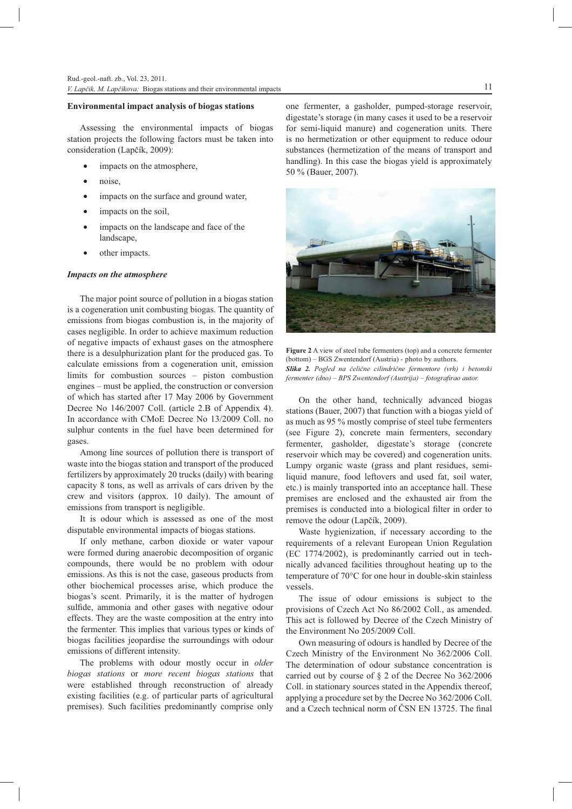## **Environmental impact analysis of biogas stations**

Assessing the environmental impacts of biogas station projects the following factors must be taken into consideration (Lapčík, 2009):

- impacts on the atmosphere,
- noise.
- impacts on the surface and ground water,
- impacts on the soil,
- impacts on the landscape and face of the landscape,
- other impacts.

## Impacts on the atmosphere

The major point source of pollution in a biogas station is a cogeneration unit combusting biogas. The quantity of emissions from biogas combustion is, in the majority of cases negligible. In order to achieve maximum reduction of negative impacts of exhaust gases on the atmosphere there is a desulphurization plant for the produced gas. To calculate emissions from a cogeneration unit, emission limits for combustion sources – piston combustion engines – must be applied, the construction or conversion of which has started after 17 May 2006 by Government Decree No 146/2007 Coll. (article 2.B of Appendix 4). In accordance with CMoE Decree No 13/2009 Coll. no sulphur contents in the fuel have been determined for gases.

Among line sources of pollution there is transport of waste into the biogas station and transport of the produced fertilizers by approximately 20 trucks (daily) with bearing capacity 8 tons, as well as arrivals of cars driven by the crew and visitors (approx. 10 daily). The amount of emissions from transport is negligible.

It is odour which is assessed as one of the most disputable environmental impacts of biogas stations.

If only methane, carbon dioxide or water vapour were formed during anaerobic decomposition of organic compounds, there would be no problem with odour emissions. As this is not the case, gaseous products from other biochemical processes arise, which produce the biogas's scent. Primarily, it is the matter of hydrogen sulfide, ammonia and other gases with negative odour effects. They are the waste composition at the entry into the fermenter. This implies that various types or kinds of biogas facilities jeopardise the surroundings with odour emissions of different intensity.

The problems with odour mostly occur in older biogas stations or more recent biogas stations that were established through reconstruction of already existing facilities (e.g. of particular parts of agricultural premises). Such facilities predominantly comprise only

one fermenter, a gasholder, pumped-storage reservoir, digestate's storage (in many cases it used to be a reservoir for semi-liquid manure) and cogeneration units. There is no hermetization or other equipment to reduce odour substances (hermetization of the means of transport and handling). In this case the biogas yield is approximately 50 % (Bauer, 2007).



Figure 2 A view of steel tube fermenters (top) and a concrete fermenter (bottom) – BGS Zwentendorf (Austria) - photo by authors. Slika 2. Pogled na čelične cilindrične fermentore (vrh) i betonski fermenter  $(dno) - BPS$  Zwentendorf (Austrija) - fotografirao autor.

On the other hand, technically advanced biogas stations (Bauer, 2007) that function with a biogas yield of as much as 95 % mostly comprise of steel tube fermenters (see Figure 2), concrete main fermenters, secondary fermenter, gasholder, digestate's storage (concrete reservoir which may be covered) and cogeneration units. Lumpy organic waste (grass and plant residues, semiliquid manure, food leftovers and used fat, soil water, etc.) is mainly transported into an acceptance hall. These premises are enclosed and the exhausted air from the premises is conducted into a biological filter in order to remove the odour (Lapčík, 2009).

Waste hygienization, if necessary according to the requirements of a relevant European Union Regulation (EC 1774/2002), is predominantly carried out in technically advanced facilities throughout heating up to the temperature of 70°C for one hour in double-skin stainless vessels.

The issue of odour emissions is subject to the provisions of Czech Act No 86/2002 Coll., as amended. This act is followed by Decree of the Czech Ministry of the Environment No 205/2009 Coll.

Own measuring of odours is handled by Decree of the Czech Ministry of the Environment No 362/2006 Coll. The determination of odour substance concentration is carried out by course of  $\S$  2 of the Decree No 362/2006 Coll. in stationary sources stated in the Appendix thereof, applying a procedure set by the Decree No 362/2006 Coll. and a Czech technical norm of ČSN EN 13725. The final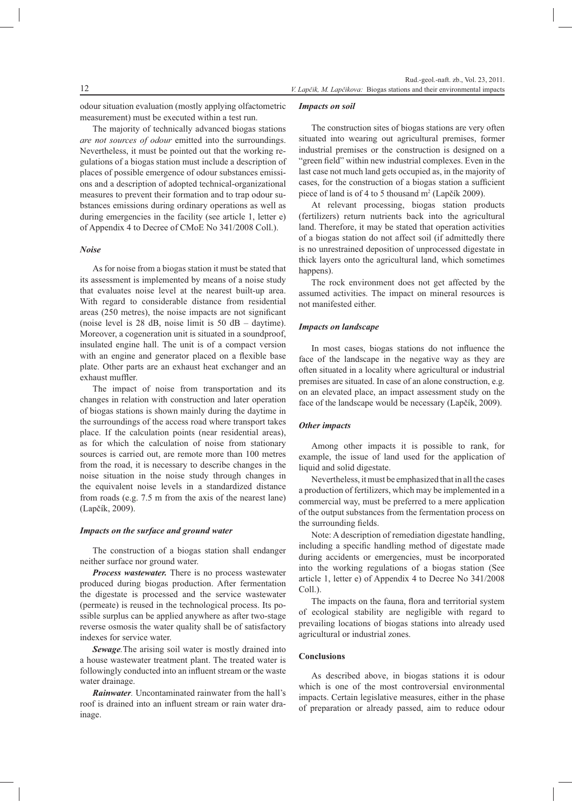odour situation evaluation (mostly applying olfactometric measurement) must be executed within a test run.

The majority of technically advanced biogas stations are not sources of odour emitted into the surroundings. Nevertheless, it must be pointed out that the working regulations of a biogas station must include a description of places of possible emergence of odour substances emissions and a description of adopted technical-organizational measures to prevent their formation and to trap odour substances emissions during ordinary operations as well as during emergencies in the facility (see article 1, letter e) of Appendix 4 to Decree of CMoE No 341/2008 Coll.).

#### **Noise**

As for noise from a biogas station it must be stated that its assessment is implemented by means of a noise study that evaluates noise level at the nearest built-up area. With regard to considerable distance from residential areas (250 metres), the noise impacts are not significant (noise level is 28 dB, noise limit is 50 dB – daytime). Moreover, a cogeneration unit is situated in a soundproof, insulated engine hall. The unit is of a compact version with an engine and generator placed on a flexible base plate. Other parts are an exhaust heat exchanger and an exhaust muffler.

The impact of noise from transportation and its changes in relation with construction and later operation of biogas stations is shown mainly during the daytime in the surroundings of the access road where transport takes place. If the calculation points (near residential areas), as for which the calculation of noise from stationary sources is carried out, are remote more than 100 metres from the road, it is necessary to describe changes in the noise situation in the noise study through changes in the equivalent noise levels in a standardized distance from roads (e.g. 7.5 m from the axis of the nearest lane) (Lapčík, 2009).

## Impacts on the surface and ground water

The construction of a biogas station shall endanger neither surface nor ground water.

Process wastewater. There is no process wastewater produced during biogas production. After fermentation the digestate is processed and the service wastewater (permeate) is reused in the technological process. Its possible surplus can be applied anywhere as after two-stage reverse osmosis the water quality shall be of satisfactory indexes for service water.

Sewage. The arising soil water is mostly drained into a house wastewater treatment plant. The treated water is followingly conducted into an influent stream or the waste water drainage.

**Rainwater.** Uncontaminated rainwater from the hall's roof is drained into an influent stream or rain water drainage.

#### **Impacts on soil**

The construction sites of biogas stations are very often situated into wearing out agricultural premises, former industrial premises or the construction is designed on a "green field" within new industrial complexes. Even in the last case not much land gets occupied as, in the majority of cases, for the construction of a biogas station a sufficient piece of land is of 4 to 5 thousand m<sup>2</sup> (Lapčík 2009).

At relevant processing, biogas station products (fertilizers) return nutrients back into the agricultural land. Therefore, it may be stated that operation activities of a biogas station do not affect soil (if admittedly there is no unrestrained deposition of unprocessed digestate in thick layers onto the agricultural land, which sometimes hannens).

The rock environment does not get affected by the assumed activities. The impact on mineral resources is not manifested either.

## **Impacts on landscape**

In most cases, biogas stations do not influence the face of the landscape in the negative way as they are often situated in a locality where agricultural or industrial premises are situated. In case of an alone construction, e.g. on an elevated place, an impact assessment study on the face of the landscape would be necessary (Lapčík, 2009).

#### Other impacts

Among other impacts it is possible to rank, for example, the issue of land used for the application of liquid and solid digestate.

Nevertheless, it must be emphasized that in all the cases a production of fertilizers, which may be implemented in a commercial way, must be preferred to a mere application of the output substances from the fermentation process on the surrounding fields.

Note: A description of remediation digestate handling, including a specific handling method of digestate made during accidents or emergencies, must be incorporated into the working regulations of a biogas station (See article 1, letter e) of Appendix 4 to Decree No 341/2008  $Coll.$ ).

The impacts on the fauna, flora and territorial system of ecological stability are negligible with regard to prevailing locations of biogas stations into already used agricultural or industrial zones.

# Conclusions

As described above, in biogas stations it is odour which is one of the most controversial environmental impacts. Certain legislative measures, either in the phase of preparation or already passed, aim to reduce odour

12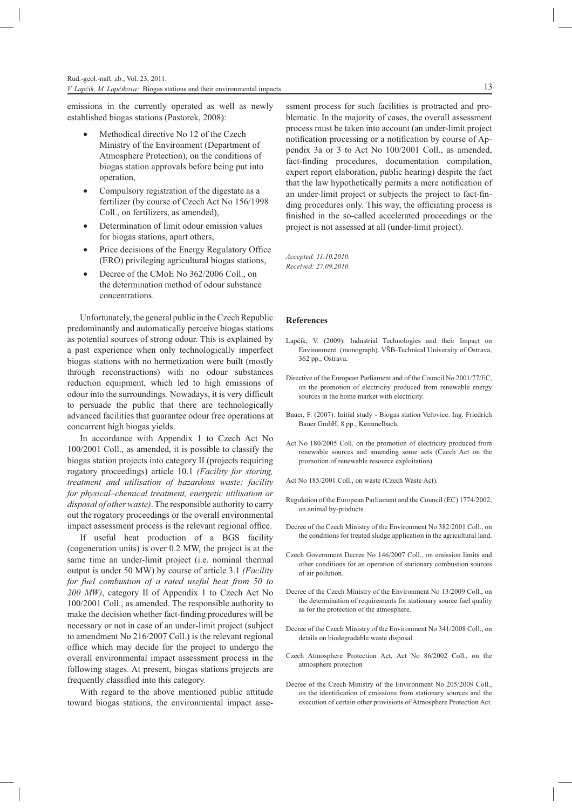emissions in the currently operated as well as newly established biogas stations (Pastorek, 2008):

- Methodical directive No 12 of the Czech Ministry of the Environment (Department of Atmosphere Protection), on the conditions of biogas station approvals before being put into operation.
- Compulsory registration of the digestate as a fertilizer (by course of Czech Act No 156/1998 Coll., on fertilizers, as amended),
- Determination of limit odour emission values for biogas stations, apart others,
- Price decisions of the Energy Regulatory Office (ERO) privileging agricultural biogas stations,
- Decree of the CMoE No 362/2006 Coll., on the determination method of odour substance concentrations.

Unfortunately, the general public in the Czech Republic predominantly and automatically perceive biogas stations as potential sources of strong odour. This is explained by a past experience when only technologically imperfect biogas stations with no hermetization were built (mostly through reconstructions) with no odour substances reduction equipment, which led to high emissions of odour into the surroundings. Nowadays, it is very difficult to persuade the public that there are technologically advanced facilities that guarantee odour free operations at concurrent high biogas yields.

In accordance with Appendix 1 to Czech Act No 100/2001 Coll., as amended, it is possible to classify the biogas station projects into category II (projects requiring rogatory proceedings) article 10.1 (Facility for storing, treatment and utilisation of hazardous waste; facility for physical–chemical treatment, energetic utilisation or disposal of other waste). The responsible authority to carry out the rogatory proceedings or the overall environmental impact assessment process is the relevant regional office.

If useful heat production of a BGS facility (cogeneration units) is over 0.2 MW, the project is at the same time an under-limit project (i.e. nominal thermal output is under 50 MW) by course of article 3.1 (Facility for fuel combustion of a rated useful heat from 50 to 200 MW), category II of Appendix 1 to Czech Act No 100/2001 Coll., as amended. The responsible authority to make the decision whether fact-finding procedures will be necessary or not in case of an under-limit project (subject to amendment No 216/2007 Coll.) is the relevant regional office which may decide for the project to undergo the overall environmental impact assessment process in the following stages. At present, biogas stations projects are frequently classified into this category.

With regard to the above mentioned public attitude toward biogas stations, the environmental impact assessment process for such facilities is protracted and problematic. In the majority of cases, the overall assessment process must be taken into account (an under-limit project notification processing or a notification by course of Appendix 3a or 3 to Act No 100/2001 Coll., as amended, fact-finding procedures, documentation compilation, expert report elaboration, public hearing) despite the fact that the law hypothetically permits a mere notification of an under-limit project or subjects the project to fact-finding procedures only. This way, the officiating process is finished in the so-called accelerated proceedings or the project is not assessed at all (under-limit project).

Accepted: 11.10.2010. Received: 27.09.2010.

## **References**

- Lančík V (2009): Industrial Technologies and their Impact on Environment. (monograph). VŠB-Technical University of Ostrava, 362 pp., Ostrava.
- Directive of the European Parliament and of the Council No 2001/77/EC. on the promotion of electricity produced from renewable energy sources in the home market with electricity.
- Bauer, F. (2007): Initial study Biogas station Veřovice. Ing. Friedrich Bauer GmbH, 8 pp., Kemmelbach.
- Act No 180/2005 Coll. on the promotion of electricity produced from renewable sources and amending some acts (Czech Act on the promotion of renewable resource exploitation).
- Act No 185/2001 Coll., on waste (Czech Waste Act).
- Regulation of the European Parliament and the Council (EC) 1774/2002, on animal by-products.
- Decree of the Czech Ministry of the Environment No 382/2001 Coll., on the conditions for treated sludge application in the agricultural land.
- Czech Government Decree No 146/2007 Coll., on emission limits and other conditions for an operation of stationary combustion sources of air pollution.
- Decree of the Czech Ministry of the Environment No 13/2009 Coll., on the determination of requirements for stationary source fuel quality as for the protection of the atmosphere.
- Decree of the Czech Ministry of the Environment No 341/2008 Coll., on details on biodegradable waste disposal.
- Czech Atmosphere Protection Act, Act No 86/2002 Coll., on the atmosphere protection
- Decree of the Czech Ministry of the Environment No 205/2009 Coll., on the identification of emissions from stationary sources and the execution of certain other provisions of Atmosphere Protection Act.